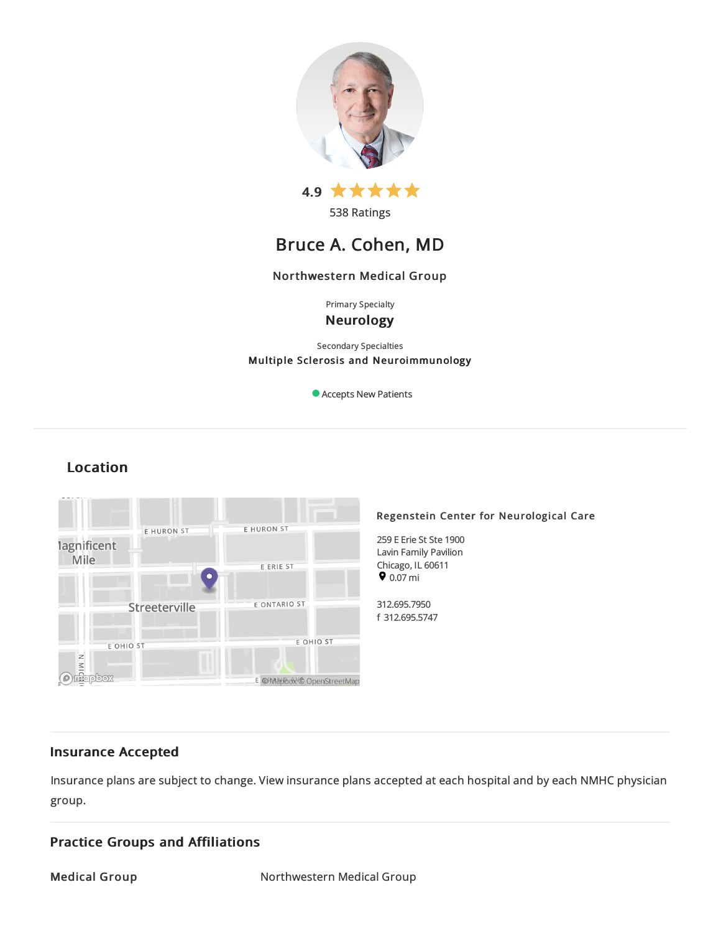

538 Ratings

# Bruce A. Cohen, MD

## Northwestern Medical Group

Primary Specialty

Neurology

Secondary Specialties Multiple Sclerosis and Neuroimmunology

Accepts New Patients

## Location



## Insurance Accepted

Insurance plans are subject to change. View [insurance](https://www.nm.org/patients-and-visitors/billing-and-insurance/insurance-information/accepted-insurance-plans) plans accepted at each hospital and by each NMHC physician group.

## Practice Groups and Affiliations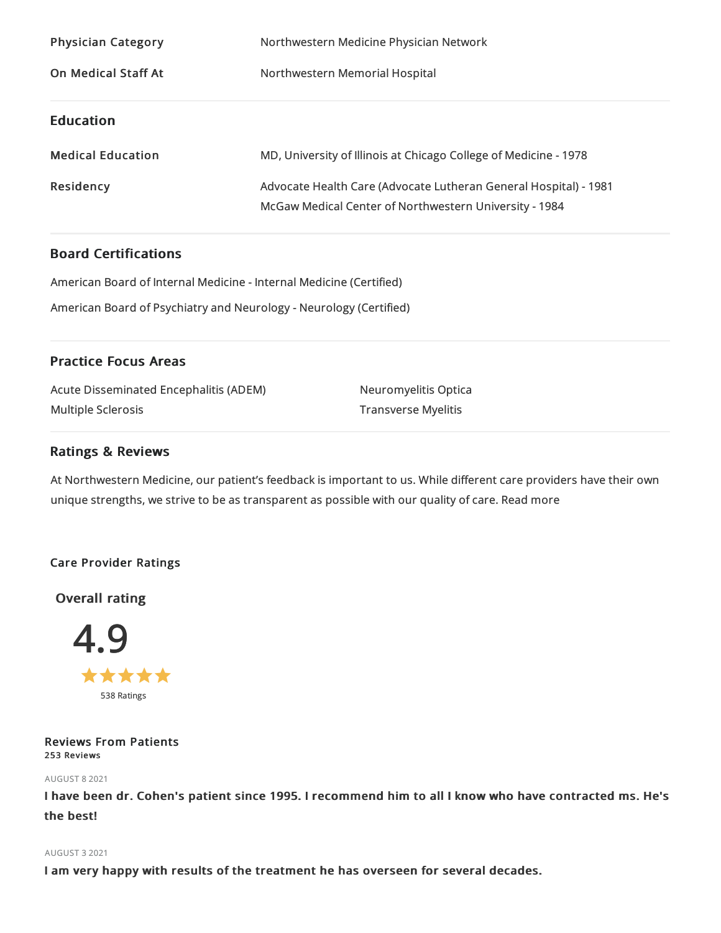| <b>Physician Category</b>  | Northwestern Medicine Physician Network                                                                                    |
|----------------------------|----------------------------------------------------------------------------------------------------------------------------|
| <b>On Medical Staff At</b> | Northwestern Memorial Hospital                                                                                             |
| <b>Education</b>           |                                                                                                                            |
| <b>Medical Education</b>   | MD, University of Illinois at Chicago College of Medicine - 1978                                                           |
| Residency                  | Advocate Health Care (Advocate Lutheran General Hospital) - 1981<br>McGaw Medical Center of Northwestern University - 1984 |

## Board Certifications

American Board of Internal Medicine- Internal Medicine(Certified)

American Board of Psychiatryand Neurology - Neurology (Certified)

## Practice Focus Areas

| <b>Acute Disseminated Encephalitis (ADEM)</b> | Neuromyelitis Optica       |
|-----------------------------------------------|----------------------------|
| Multiple Sclerosis                            | <b>Transverse Myelitis</b> |

## Ratings & Reviews

At Northwestern Medicine, our patient's feedback is important to us. While different care providers have their own unique strengths, we strive to be as transparent as possible with our quality of care. Read more

## Care Provider Ratings

## Overall rating



## Reviews From Patients 253 Reviews

## AUGUST 82021

I have been dr. Cohen's patient since 1995. I recommend him to all I know who have contracted ms. He's the best!

## AUGUST 32021

I am very happy with results of the treatment he has overseen for several decades.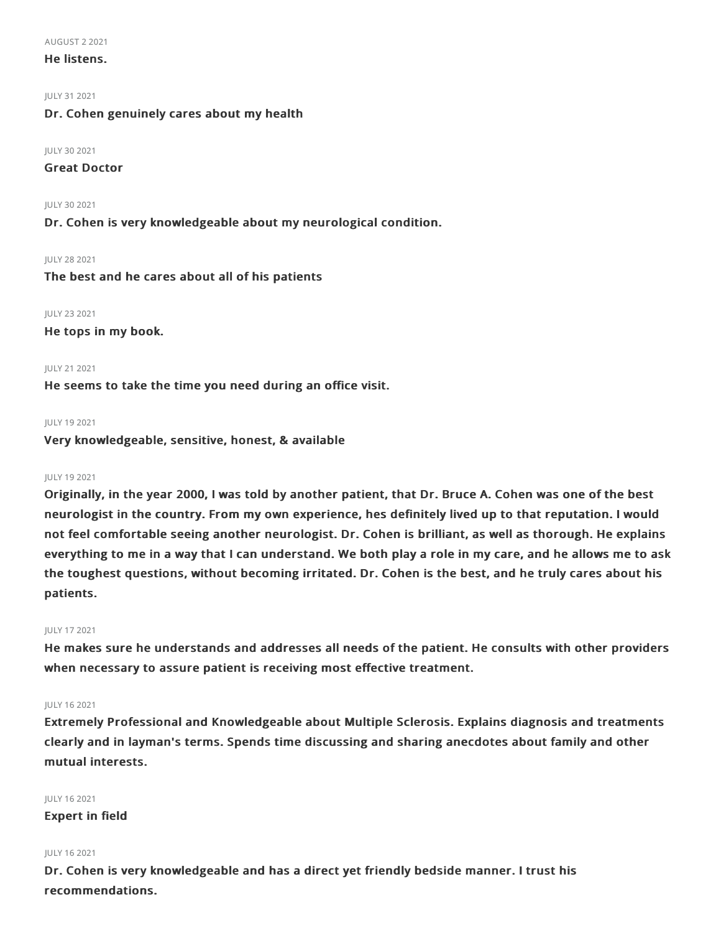#### AUGUST 22021

### He listens.

JULY 312021

## Dr. Cohen genuinely cares about my health

#### JULY 30 2021

## Great Doctor

JULY 30 2021 Dr. Cohen is very knowledgeable about my neurological condition.

JULY 282021 The best and he cares about all of his patients

JULY 232021 He tops in my book.

#### JULY 212021

He seems to take the time you need during an office visit.

#### JULY 192021

Very knowledgeable, sensitive, honest, & available

#### JULY 192021

Originally, in the year 2000, I was told by another patient, that Dr. Bruce A. Cohen was one of the best neurologist in the country. From my own experience, hes definitely lived up to that reputation. I would not feel comfortable seeing another neurologist. Dr. Cohen is brilliant, as well as thorough. He explains everything to me in a way that I can understand. We both play a role in my care, and he allows me to ask the toughest questions, without becoming irritated. Dr. Cohen is the best, and he truly cares about his patients.

#### JULY 172021

He makes sure he understands and addresses all needs of the patient. He consults with other providers when necessary to assure patient is receiving most effective treatment.

#### JULY 162021

Extremely Professional and Knowledgeable about Multiple Sclerosis. Explains diagnosis and treatments clearly and in layman's terms. Spends time discussing and sharing anecdotes about family and other mutual interests.

JULY 162021 Expert in field

#### JULY 162021

Dr. Cohen is very knowledgeable and has a direct yet friendly bedside manner. I trust his recommendations.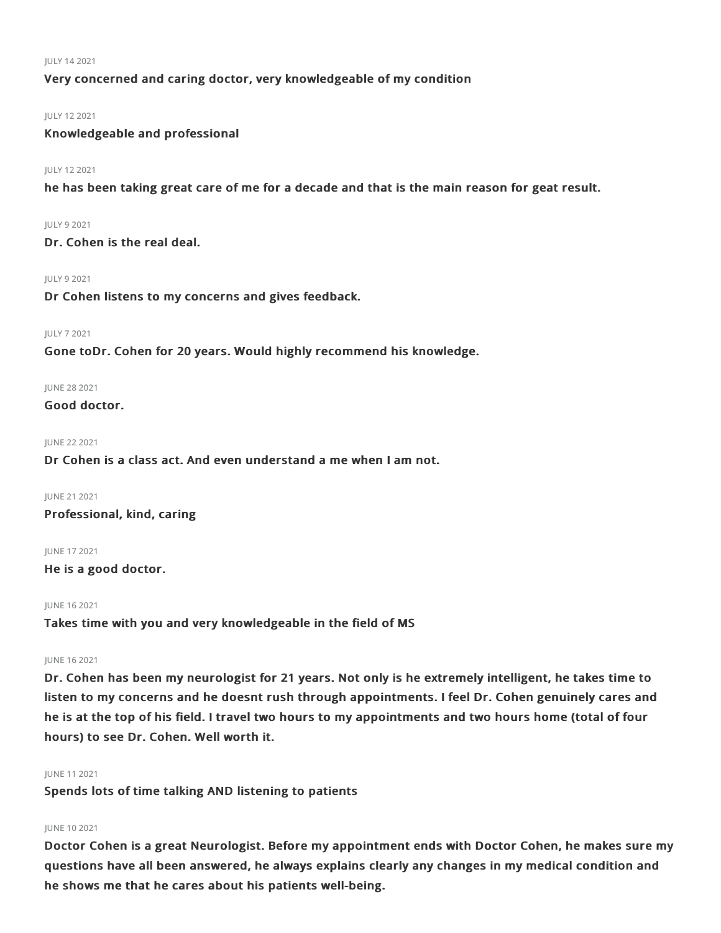#### JULY 142021

## Very concerned and caring doctor, very knowledgeable of my condition

### JULY 122021

Knowledgeable and professional

#### JULY 122021

he has been taking great care of me for a decade and that is the main reason for geat result.

#### JULY 92021

Dr. Cohen is the real deal.

#### JULY 92021

Dr Cohen listens to my concerns and gives feedback.

#### JULY 72021

Gone toDr. Cohen for 20 years. Would highly recommend his knowledge.

#### JUNE 282021

Good doctor.

### JUNE 222021

Dr Cohen is a class act. And even understand a me when I am not.

JUNE 21 2021

Professional, kind, caring

JUNE 172021 He is a good doctor.

JUNE 162021

Takes time with you and very knowledgeable in the field of MS

### JUNE 162021

Dr. Cohen has been my neurologist for 21 years. Not only is he extremely intelligent, he takes time to listen to my concerns and he doesnt rush through appointments. I feel Dr. Cohen genuinely cares and he is at the top of his field. I travel two hours to my appointments and two hours home (total of four hours) to see Dr. Cohen. Well worth it.

#### JUNE 112021

Spends lots of time talking AND listening to patients

### JUNE 102021

Doctor Cohen is a great Neurologist. Before my appointment ends with Doctor Cohen, he makes sure my questions have all been answered, he always explains clearly any changes in my medical condition and he shows me that he cares about his patients well-being.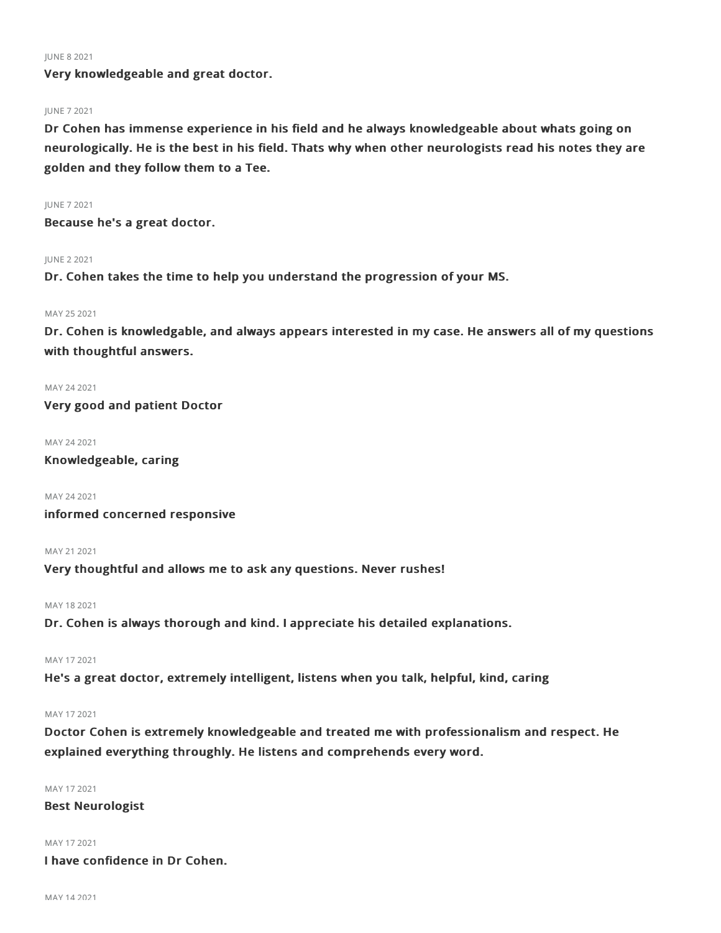#### JUNE 82021

Very knowledgeable and great doctor.

#### JUNE 72021

Dr Cohen has immense experience in his field and he always knowledgeable about whats going on neurologically. He is the best in his field. Thats why when other neurologists read his notes they are golden and they follow them to a Tee.

#### JUNE 72021

Because he's a great doctor.

#### JUNE 22021

Dr. Cohen takes the time to help you understand the progression of your MS.

#### MAY 252021

Dr. Cohen is knowledgable, and always appears interested in my case. He answers all of my questions with thoughtful answers.

#### MAY 242021

Very good and patient Doctor

#### MAY 242021

Knowledgeable, caring

MAY 242021

informed concerned responsive

#### MAY 21 2021

Very thoughtful and allows me to ask any questions. Never rushes!

MAY 182021

Dr. Cohen is always thorough and kind. I appreciate his detailed explanations.

## MAY 172021

He's a great doctor, extremely intelligent, listens when you talk, helpful, kind, caring

#### MAY 172021

Doctor Cohen is extremely knowledgeable and treated me with professionalism and respect. He explained everything throughly. He listens and comprehends every word.

MAY 172021

Best Neurologist

MAY 172021

I have confidence in Dr Cohen.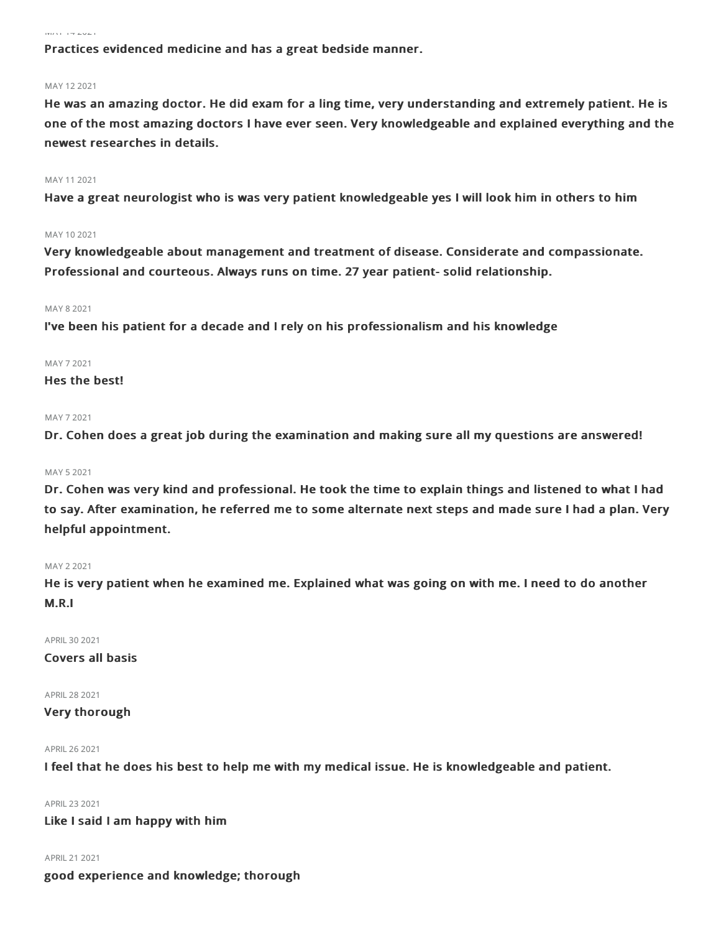#### MAY 142021

Practices evidenced medicine and has a great bedside manner.

#### MAY 122021

He was an amazing doctor. He did exam for a ling time, very understanding and extremely patient. He is one of the most amazing doctors I have ever seen. Very knowledgeable and explained everything and the newest researches in details.

#### MAY 112021

Have a great neurologist who is was very patient knowledgeable yes I will look him in others to him

#### MAY 102021

Very knowledgeable about management and treatment of disease. Considerate and compassionate. Professional and courteous. Always runs on time. 27 year patient- solid relationship.

#### MAY 82021

I've been his patient for a decade and I rely on his professionalism and his knowledge

#### MAY 72021

## Hes the best!

#### MAY 72021

Dr. Cohen does a great job during the examination and making sure all my questions are answered!

#### MAY 52021

Dr. Cohen was very kind and professional. He took the time to explain things and listened to what I had to say. After examination, he referred me to some alternate next steps and made sure I had a plan. Very helpful appointment.

#### MAY 22021

He is very patient when he examined me. Explained what was going on with me. I need to do another M.R.I

APRIL302021

## Covers all basis

APRIL282021

### Very thorough

#### APRIL262021

I feel that he does his best to help me with my medical issue. He is knowledgeable and patient.

APRIL232021

Like I said I am happy with him

APRIL212021

good experience and knowledge; thorough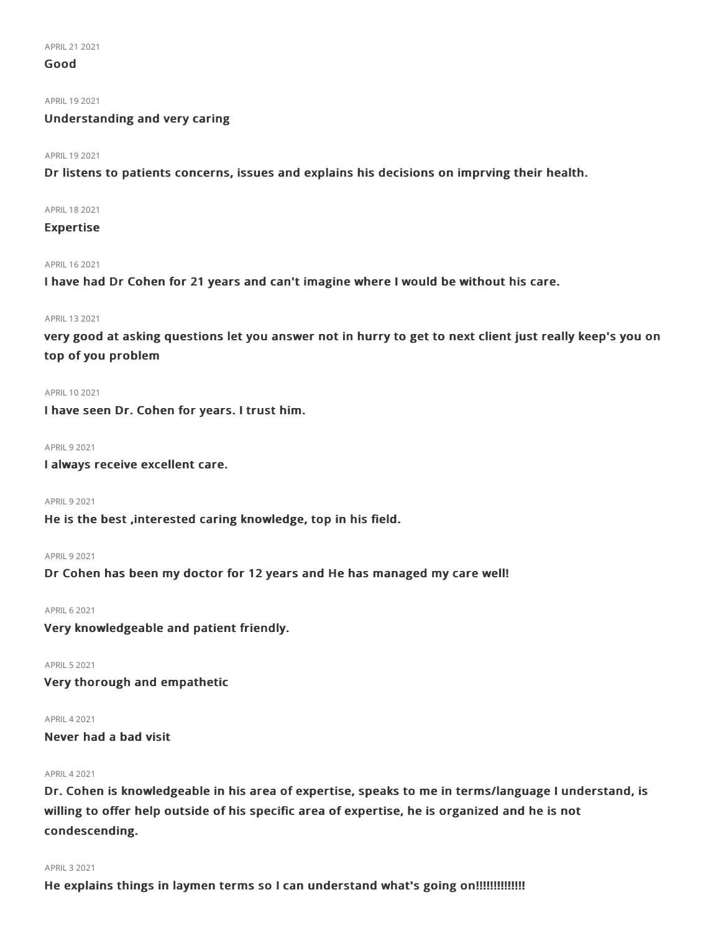## Good

APRIL 19 2021

## Understanding and very caring

#### APRIL 19 2021

Dr listens to patients concerns, issues and explains his decisions on imprving their health.

APRIL182021

## Expertise

#### APRIL162021

I have had Dr Cohen for 21 years and can't imagine where I would be without his care.

#### APRIL 13 2021

very good at asking questions let you answer not in hurry to get to next client just really keep's you on top of you problem

#### APRIL102021

I have seen Dr. Cohen for years. I trust him.

## **APRIL 9 2021**

I always receive excellent care.

**APRIL 9 2021** 

He is the best ,interested caring knowledge, top in his field.

#### **APRIL 9 2021**

Dr Cohen has been my doctor for 12 years and He has managed my care well!

APRIL62021

Very knowledgeable and patient friendly.

APRIL52021

Very thorough and empathetic

## APRIL42021

Never had a bad visit

#### APRIL42021

Dr. Cohen is knowledgeable in his area of expertise, speaks to me in terms/language I understand, is willing to offer help outside of his specific area of expertise, he is organized and he is not condescending.

#### APRIL32021

He explains things in laymen terms so I can understand what's going on!!!!!!!!!!!!!!!!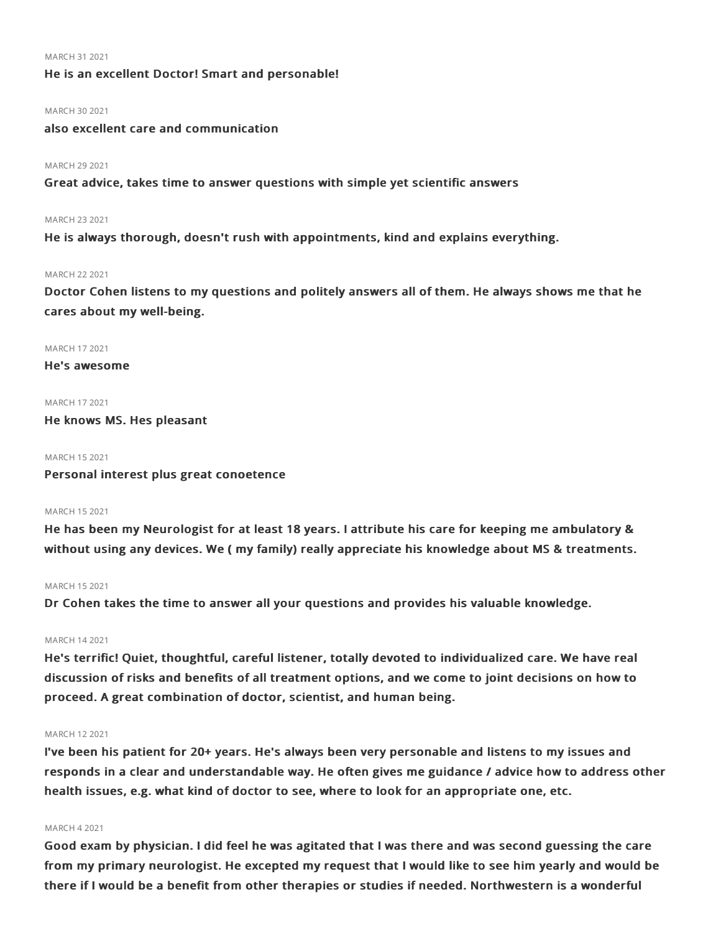#### MARCH 312021

## He is an excellent Doctor! Smart and personable!

#### MARCH 30 2021

also excellent care and communication

#### MARCH 29 2021

Great advice, takes time to answer questions with simple yet scientific answers

#### MARCH 232021

He is always thorough, doesn't rush with appointments, kind and explains everything.

#### MARCH 22 2021

Doctor Cohen listens to my questions and politely answers all of them. He always shows me that he cares about my well-being.

#### MARCH 172021

He's awesome

#### MARCH 172021

He knows MS. Hes pleasant

#### MARCH 152021

Personal interest plus great conoetence

#### MARCH 152021

He has been my Neurologist for at least 18 years. I attribute his care for keeping me ambulatory & without using any devices. We ( my family) really appreciate his knowledge about MS & treatments.

#### MARCH 152021

Dr Cohen takes the time to answer all your questions and provides his valuable knowledge.

#### MARCH 142021

He's terrific! Quiet, thoughtful, careful listener, totally devoted to individualized care. We have real discussion of risks and benefits of all treatment options, and we come to joint decisions on how to proceed. A great combination of doctor, scientist, and human being.

#### MARCH 122021

I've been his patient for 20+ years. He's always been very personable and listens to my issues and responds in a clear and understandable way. He often gives me guidance / advice how to address other health issues, e.g. what kind of doctor to see, where to look for an appropriate one, etc.

### MARCH 42021

Good exam by physician. I did feel he was agitated that I was there and was second guessing the care from my primary neurologist. He excepted my request that I would like to see him yearly and would be there if I would be a benefit from other therapies or studies if needed. Northwestern is a wonderful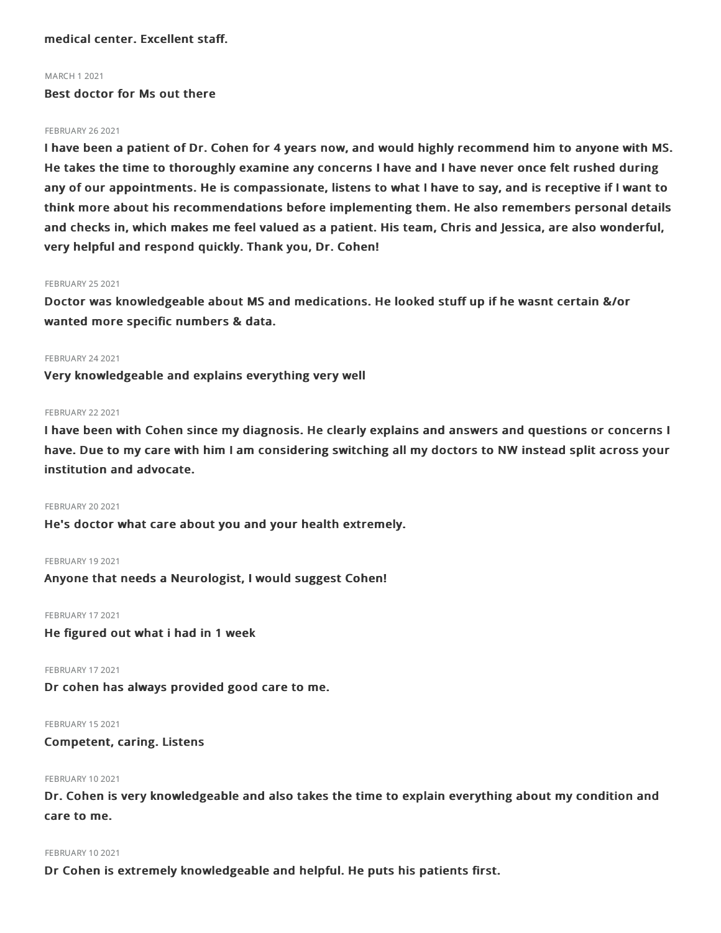medical center. Excellent staff.

#### MARCH 12021

Best doctor for Ms out there

#### **FEBRUARY 26 2021**

I have been a patient of Dr. Cohen for 4 years now, and would highly recommend him to anyone with MS. He takes the time to thoroughly examine any concerns I have and I have never once felt rushed during any of our appointments. He is compassionate, listens to what I have to say, and is receptive if I want to think more about his recommendations before implementing them. He also remembers personal details and checks in, which makes me feel valued as a patient. His team, Chris and Jessica, are also wonderful, very helpful and respond quickly. Thank you, Dr. Cohen!

#### **FEBRUARY 25 2021**

Doctor was knowledgeable about MS and medications. He looked stuff up if he wasnt certain &/or wanted more specific numbers & data.

#### **FEBRUARY 24 2021**

Very knowledgeable and explains everything very well

#### **FEBRUARY 22 2021**

I have been with Cohen since my diagnosis. He clearly explains and answers and questions or concerns I have. Due to my care with him I am considering switching all my doctors to NW instead split across your institution and advocate.

#### **FEBRUARY 20 2021**

He's doctor what care about you and your health extremely.

#### FEBRUARY 19 2021

Anyone that needs a Neurologist, I would suggest Cohen!

FEBRUARY 17 2021 He figured out what i had in 1 week

FEBRUARY 17 2021

Dr cohen has always provided good care to me.

FEBRUARY 152021 Competent, caring. Listens

#### **FEBRUARY 10 2021**

Dr. Cohen is very knowledgeable and also takes the time to explain everything about my condition and care to me.

#### FEBRUARY 102021

Dr Cohen is extremely knowledgeable and helpful. He puts his patients first.